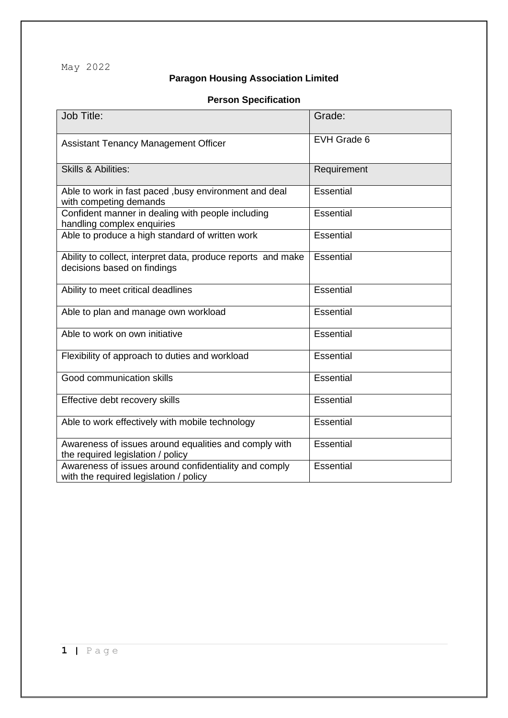May 2022

## **Paragon Housing Association Limited**

## **Person Specification**

| Job Title:                                                                                      | Grade:           |
|-------------------------------------------------------------------------------------------------|------------------|
| <b>Assistant Tenancy Management Officer</b>                                                     | EVH Grade 6      |
| <b>Skills &amp; Abilities:</b>                                                                  | Requirement      |
| Able to work in fast paced , busy environment and deal<br>with competing demands                | <b>Essential</b> |
| Confident manner in dealing with people including<br>handling complex enquiries                 | <b>Essential</b> |
| Able to produce a high standard of written work                                                 | Essential        |
| Ability to collect, interpret data, produce reports and make<br>decisions based on findings     | Essential        |
| Ability to meet critical deadlines                                                              | Essential        |
| Able to plan and manage own workload                                                            | Essential        |
| Able to work on own initiative                                                                  | <b>Essential</b> |
| Flexibility of approach to duties and workload                                                  | <b>Essential</b> |
| Good communication skills                                                                       | Essential        |
| Effective debt recovery skills                                                                  | Essential        |
| Able to work effectively with mobile technology                                                 | Essential        |
| Awareness of issues around equalities and comply with<br>the required legislation / policy      | Essential        |
| Awareness of issues around confidentiality and comply<br>with the required legislation / policy | Essential        |